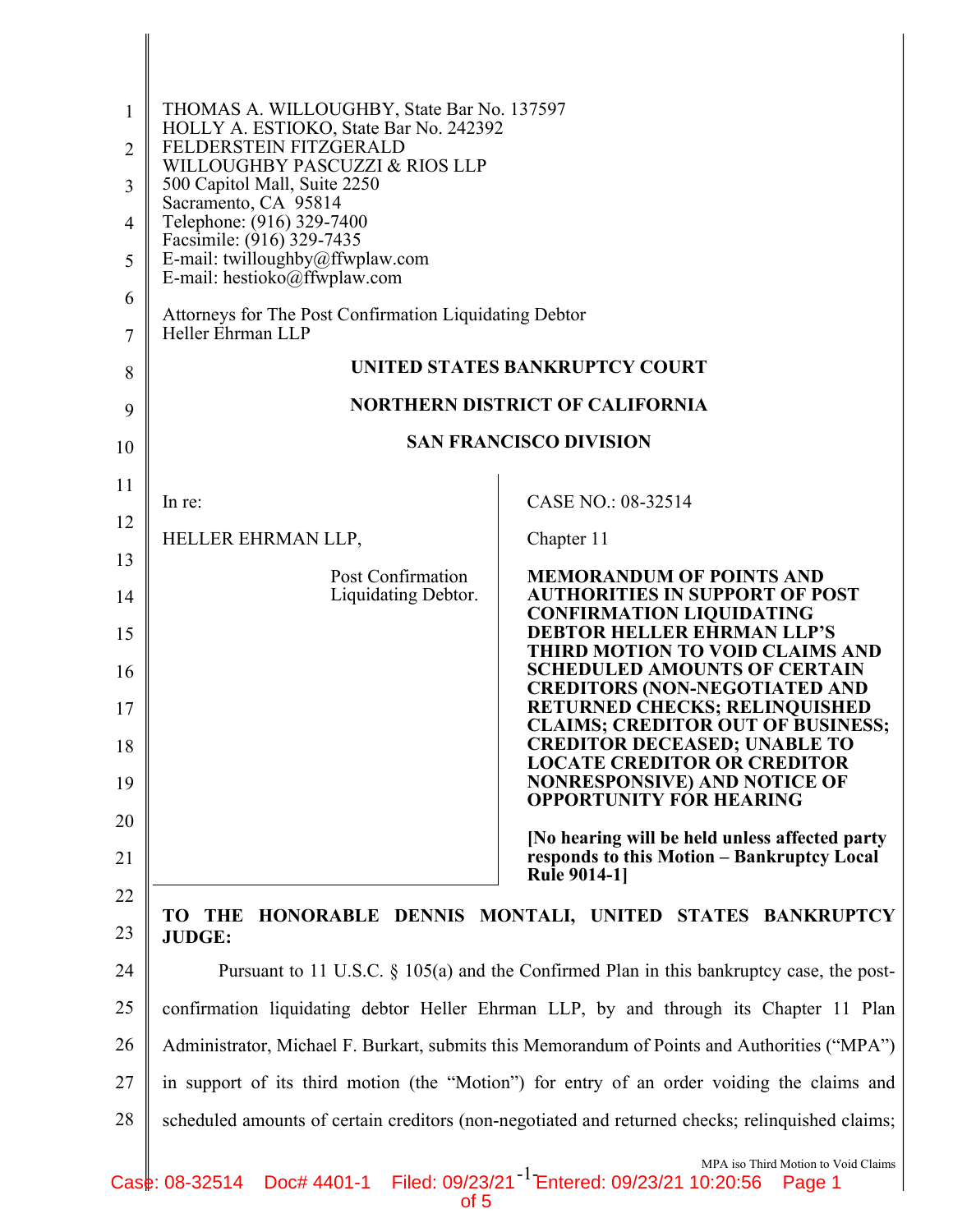| $\mathbf{1}$   | THOMAS A. WILLOUGHBY, State Bar No. 137597<br>HOLLY A. ESTIOKO, State Bar No. 242392         |                                                                                                                       |
|----------------|----------------------------------------------------------------------------------------------|-----------------------------------------------------------------------------------------------------------------------|
| $\overline{2}$ | FELDERSTEIN FITZGERALD<br>WILLOUGHBY PASCUZZI & RIOS LLP                                     |                                                                                                                       |
| 3              | 500 Capitol Mall, Suite 2250<br>Sacramento, CA 95814                                         |                                                                                                                       |
| $\overline{4}$ | Telephone: (916) 329-7400<br>Facsimile: (916) 329-7435                                       |                                                                                                                       |
| 5              | E-mail: twilloughby@ffwplaw.com<br>E-mail: hestioko@ffwplaw.com                              |                                                                                                                       |
| 6              |                                                                                              |                                                                                                                       |
| $\overline{7}$ | Attorneys for The Post Confirmation Liquidating Debtor<br>Heller Ehrman LLP                  |                                                                                                                       |
| 8              |                                                                                              | UNITED STATES BANKRUPTCY COURT                                                                                        |
| 9              |                                                                                              | <b>NORTHERN DISTRICT OF CALIFORNIA</b>                                                                                |
| 10             |                                                                                              | <b>SAN FRANCISCO DIVISION</b>                                                                                         |
| 11             | In re:                                                                                       | CASE NO.: 08-32514                                                                                                    |
| 12             | HELLER EHRMAN LLP,                                                                           | Chapter 11                                                                                                            |
| 13             | Post Confirmation                                                                            | <b>MEMORANDUM OF POINTS AND</b>                                                                                       |
| 14             | Liquidating Debtor.                                                                          | <b>AUTHORITIES IN SUPPORT OF POST</b><br><b>CONFIRMATION LIQUIDATING</b>                                              |
| 15             |                                                                                              | <b>DEBTOR HELLER EHRMAN LLP'S</b><br>THIRD MOTION TO VOID CLAIMS AND                                                  |
| 16             |                                                                                              | <b>SCHEDULED AMOUNTS OF CERTAIN</b><br><b>CREDITORS (NON-NEGOTIATED AND</b>                                           |
| 17             |                                                                                              | <b>RETURNED CHECKS; RELINQUISHED</b><br><b>CLAIMS; CREDITOR OUT OF BUSINESS;</b>                                      |
| 18             |                                                                                              | <b>CREDITOR DECEASED; UNABLE TO</b><br><b>LOCATE CREDITOR OR CREDITOR</b>                                             |
| 19             |                                                                                              | <b>NONRESPONSIVE) AND NOTICE OF</b><br><b>OPPORTUNITY FOR HEARING</b>                                                 |
| 20             |                                                                                              | [No hearing will be held unless affected party                                                                        |
| 21             |                                                                                              | responds to this Motion - Bankruptcy Local<br><b>Rule 9014-11</b>                                                     |
| 22             | TO -<br>THE                                                                                  | HONORABLE DENNIS MONTALI, UNITED STATES BANKRUPTCY                                                                    |
| 23             | <b>JUDGE:</b>                                                                                |                                                                                                                       |
| 24             |                                                                                              | Pursuant to 11 U.S.C. $\S$ 105(a) and the Confirmed Plan in this bankruptcy case, the post-                           |
| 25             | confirmation liquidating debtor Heller Ehrman LLP, by and through its Chapter 11 Plan        |                                                                                                                       |
| 26             | Administrator, Michael F. Burkart, submits this Memorandum of Points and Authorities ("MPA") |                                                                                                                       |
| 27             | in support of its third motion (the "Motion") for entry of an order voiding the claims and   |                                                                                                                       |
| 28             |                                                                                              | scheduled amounts of certain creditors (non-negotiated and returned checks; relinquished claims;                      |
|                | Case: 08-32514                                                                               | MPA iso Third Motion to Void Claims<br>Doc# 4401-1 Filed: 09/23/21 <sup>-1</sup> Entered: 09/23/21 10:20:56<br>Page 1 |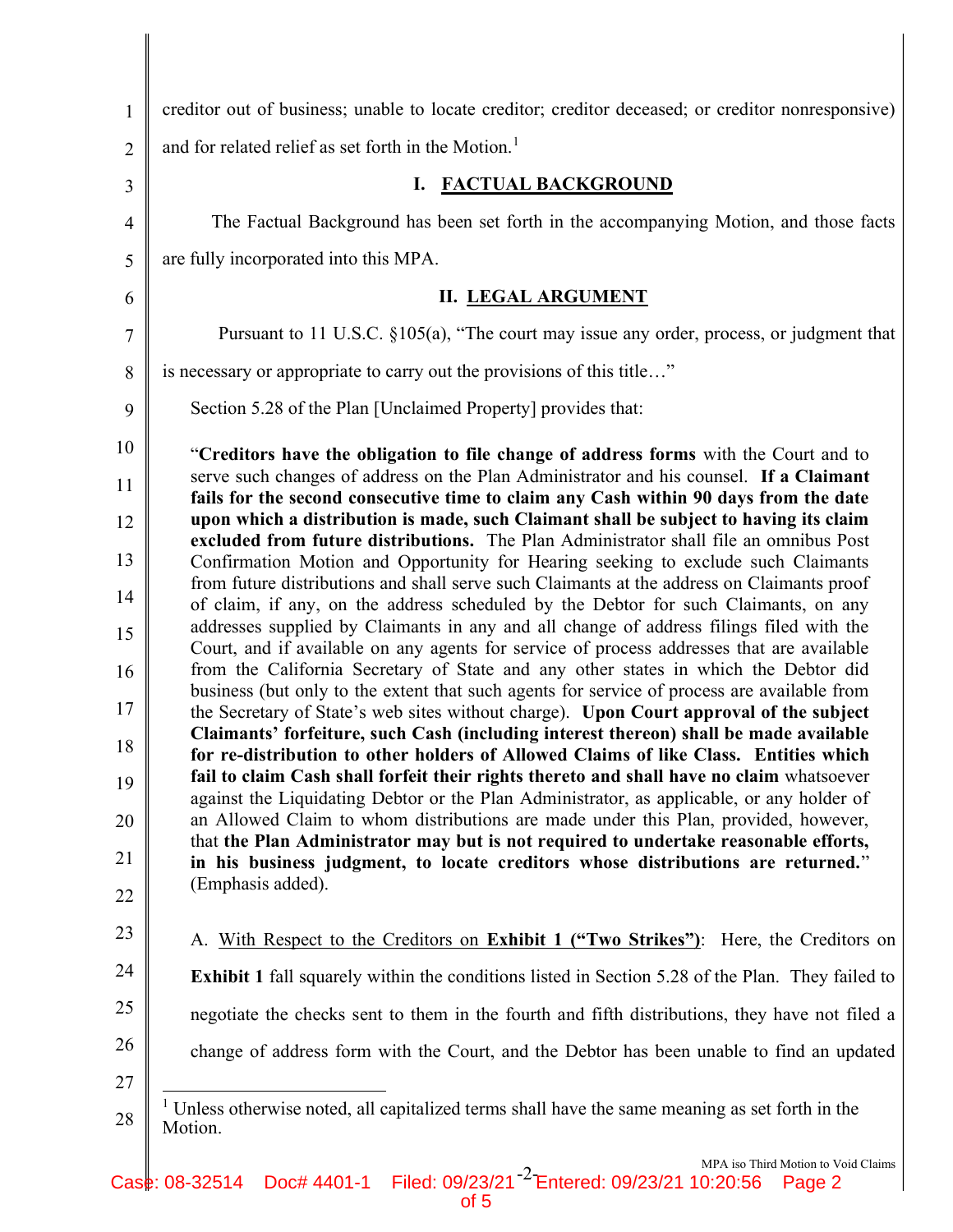| $\mathbf{1}$   | creditor out of business; unable to locate creditor; creditor deceased; or creditor nonresponsive)                                                                                    |  |  |
|----------------|---------------------------------------------------------------------------------------------------------------------------------------------------------------------------------------|--|--|
| $\overline{2}$ | and for related relief as set forth in the Motion. <sup>1</sup>                                                                                                                       |  |  |
| 3              | I. FACTUAL BACKGROUND                                                                                                                                                                 |  |  |
| $\overline{4}$ | The Factual Background has been set forth in the accompanying Motion, and those facts                                                                                                 |  |  |
| 5              | are fully incorporated into this MPA.                                                                                                                                                 |  |  |
| 6              | <b>II. LEGAL ARGUMENT</b>                                                                                                                                                             |  |  |
| $\overline{7}$ | Pursuant to 11 U.S.C. §105(a), "The court may issue any order, process, or judgment that                                                                                              |  |  |
| 8              | is necessary or appropriate to carry out the provisions of this title"                                                                                                                |  |  |
| 9              | Section 5.28 of the Plan [Unclaimed Property] provides that:                                                                                                                          |  |  |
| 10             | "Creditors have the obligation to file change of address forms with the Court and to                                                                                                  |  |  |
| 11             | serve such changes of address on the Plan Administrator and his counsel. If a Claimant<br>fails for the second consecutive time to claim any Cash within 90 days from the date        |  |  |
| 12             | upon which a distribution is made, such Claimant shall be subject to having its claim                                                                                                 |  |  |
| 13             | excluded from future distributions. The Plan Administrator shall file an omnibus Post<br>Confirmation Motion and Opportunity for Hearing seeking to exclude such Claimants            |  |  |
| 14             | from future distributions and shall serve such Claimants at the address on Claimants proof<br>of claim, if any, on the address scheduled by the Debtor for such Claimants, on any     |  |  |
| 15             | addresses supplied by Claimants in any and all change of address filings filed with the<br>Court, and if available on any agents for service of process addresses that are available  |  |  |
| 16             | from the California Secretary of State and any other states in which the Debtor did                                                                                                   |  |  |
| 17             | business (but only to the extent that such agents for service of process are available from<br>the Secretary of State's web sites without charge). Upon Court approval of the subject |  |  |
| 18             | Claimants' forfeiture, such Cash (including interest thereon) shall be made available<br>for re-distribution to other holders of Allowed Claims of like Class. Entities which         |  |  |
| 19             | fail to claim Cash shall forfeit their rights thereto and shall have no claim whatsoever                                                                                              |  |  |
| 20             | against the Liquidating Debtor or the Plan Administrator, as applicable, or any holder of<br>an Allowed Claim to whom distributions are made under this Plan, provided, however,      |  |  |
| 21             | that the Plan Administrator may but is not required to undertake reasonable efforts,<br>in his business judgment, to locate creditors whose distributions are returned."              |  |  |
| 22             | (Emphasis added).                                                                                                                                                                     |  |  |
| 23             | A. With Respect to the Creditors on Exhibit 1 ("Two Strikes"): Here, the Creditors on                                                                                                 |  |  |
| 24             | <b>Exhibit 1</b> fall squarely within the conditions listed in Section 5.28 of the Plan. They failed to                                                                               |  |  |
| 25             | negotiate the checks sent to them in the fourth and fifth distributions, they have not filed a                                                                                        |  |  |
| 26             | change of address form with the Court, and the Debtor has been unable to find an updated                                                                                              |  |  |
| 27             |                                                                                                                                                                                       |  |  |
| 28             | Unless otherwise noted, all capitalized terms shall have the same meaning as set forth in the<br>Motion.                                                                              |  |  |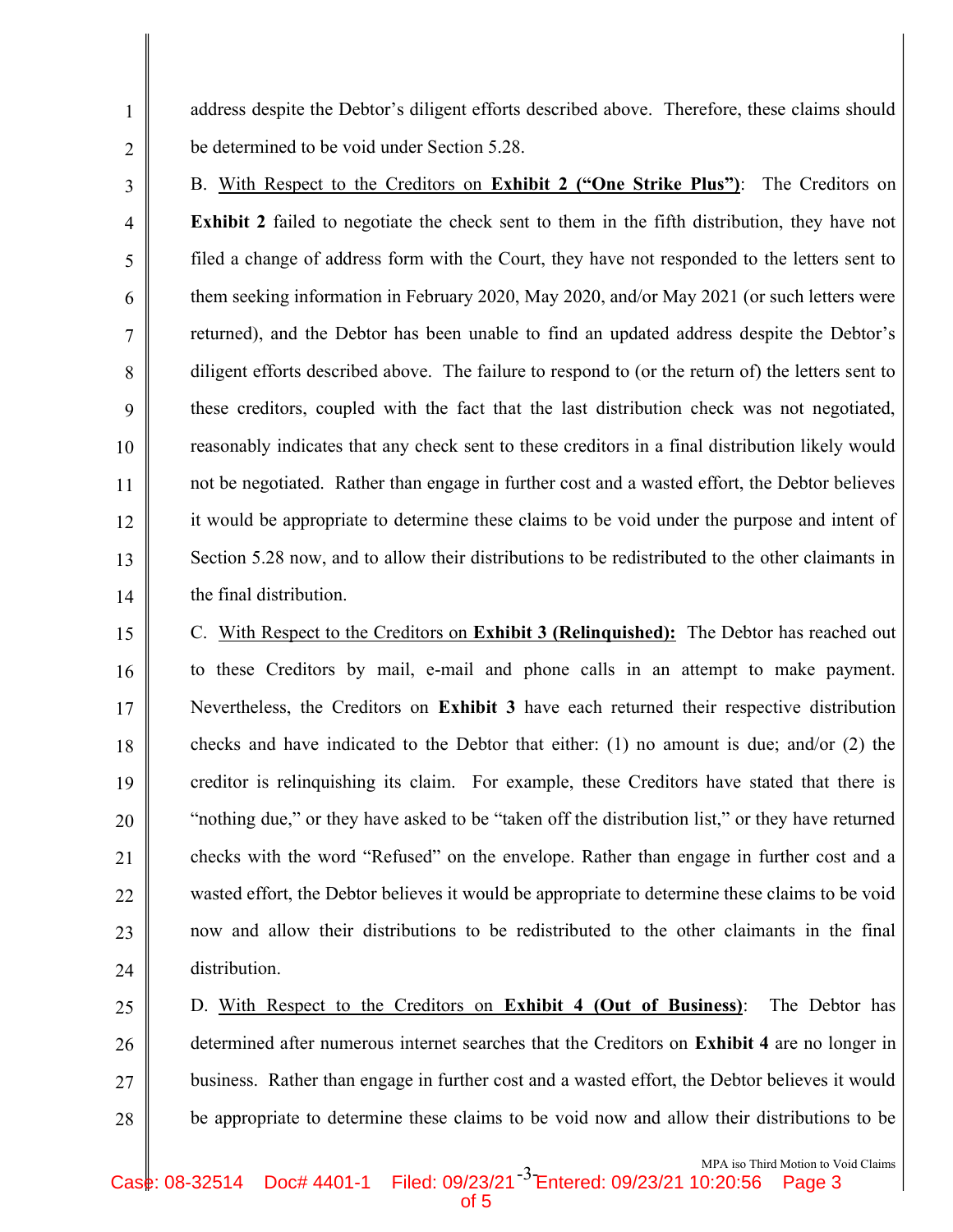address despite the Debtor's diligent efforts described above. Therefore, these claims should be determined to be void under Section 5.28.

1

2

3

4

5

6

7

8

9

10

11

12

13

14

B. With Respect to the Creditors on Exhibit 2 ("One Strike Plus"): The Creditors on Exhibit 2 failed to negotiate the check sent to them in the fifth distribution, they have not filed a change of address form with the Court, they have not responded to the letters sent to them seeking information in February 2020, May 2020, and/or May 2021 (or such letters were returned), and the Debtor has been unable to find an updated address despite the Debtor's diligent efforts described above. The failure to respond to (or the return of) the letters sent to these creditors, coupled with the fact that the last distribution check was not negotiated, reasonably indicates that any check sent to these creditors in a final distribution likely would not be negotiated. Rather than engage in further cost and a wasted effort, the Debtor believes it would be appropriate to determine these claims to be void under the purpose and intent of Section 5.28 now, and to allow their distributions to be redistributed to the other claimants in the final distribution.

15 16 17 18 19 20 21 22 23 24 C. With Respect to the Creditors on Exhibit 3 (Relinquished): The Debtor has reached out to these Creditors by mail, e-mail and phone calls in an attempt to make payment. Nevertheless, the Creditors on Exhibit 3 have each returned their respective distribution checks and have indicated to the Debtor that either: (1) no amount is due; and/or (2) the creditor is relinquishing its claim. For example, these Creditors have stated that there is "nothing due," or they have asked to be "taken off the distribution list," or they have returned checks with the word "Refused" on the envelope. Rather than engage in further cost and a wasted effort, the Debtor believes it would be appropriate to determine these claims to be void now and allow their distributions to be redistributed to the other claimants in the final distribution.

25 26 27 28 D. With Respect to the Creditors on Exhibit 4 (Out of Business): The Debtor has determined after numerous internet searches that the Creditors on Exhibit 4 are no longer in business. Rather than engage in further cost and a wasted effort, the Debtor believes it would be appropriate to determine these claims to be void now and allow their distributions to be

of 5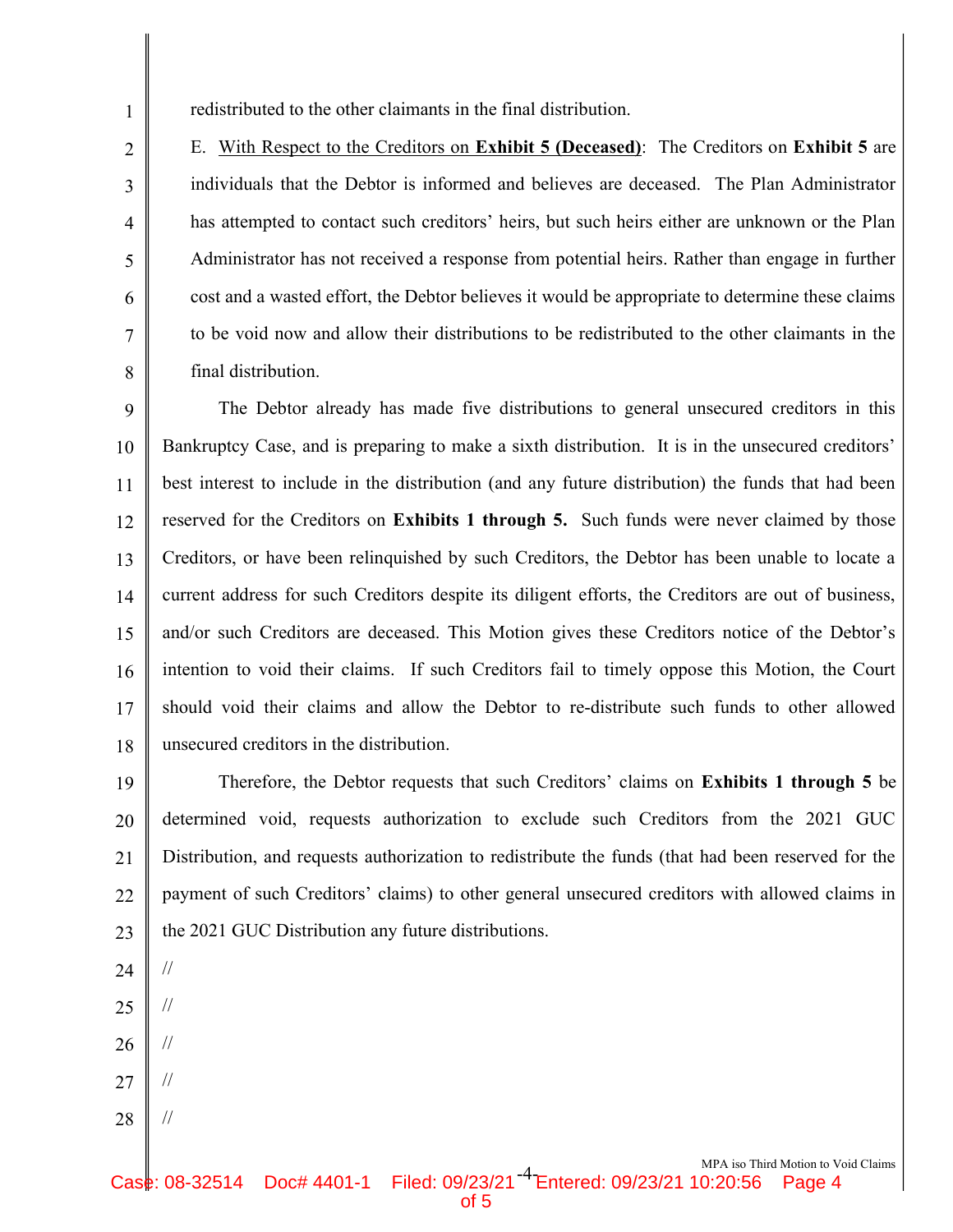redistributed to the other claimants in the final distribution.

E. With Respect to the Creditors on Exhibit 5 (Deceased): The Creditors on Exhibit 5 are individuals that the Debtor is informed and believes are deceased. The Plan Administrator has attempted to contact such creditors' heirs, but such heirs either are unknown or the Plan Administrator has not received a response from potential heirs. Rather than engage in further cost and a wasted effort, the Debtor believes it would be appropriate to determine these claims to be void now and allow their distributions to be redistributed to the other claimants in the final distribution.

9 10 11 12 13 14 15 16 17 18 The Debtor already has made five distributions to general unsecured creditors in this Bankruptcy Case, and is preparing to make a sixth distribution. It is in the unsecured creditors' best interest to include in the distribution (and any future distribution) the funds that had been reserved for the Creditors on **Exhibits 1 through 5.** Such funds were never claimed by those Creditors, or have been relinquished by such Creditors, the Debtor has been unable to locate a current address for such Creditors despite its diligent efforts, the Creditors are out of business, and/or such Creditors are deceased. This Motion gives these Creditors notice of the Debtor's intention to void their claims. If such Creditors fail to timely oppose this Motion, the Court should void their claims and allow the Debtor to re-distribute such funds to other allowed unsecured creditors in the distribution.

19 20 21 22 23 Therefore, the Debtor requests that such Creditors' claims on Exhibits 1 through 5 be determined void, requests authorization to exclude such Creditors from the 2021 GUC Distribution, and requests authorization to redistribute the funds (that had been reserved for the payment of such Creditors' claims) to other general unsecured creditors with allowed claims in the 2021 GUC Distribution any future distributions.

24

//

//

//

1

2

3

4

5

6

7

8

- 25
- 26
- 27 //
- 28 //